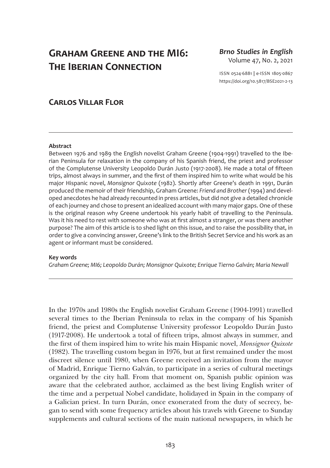# **Graham Greene and the MI6: The Iberian Connection**

*Brno Studies in English* Volume 47, No. 2, 2021

ISSN 0524-6881 **|** e-ISSN 1805-0867 <https://doi.org/10.5817/BSE2021-2-13>

## **Carlos Villar Flor**

## **Abstract**

Between 1976 and 1989 the English novelist Graham Greene (1904-1991) travelled to the Iberian Peninsula for relaxation in the company of his Spanish friend, the priest and professor of the Complutense University Leopoldo Durán Justo (1917-2008). He made a total of fifteen trips, almost always in summer, and the first of them inspired him to write what would be his major Hispanic novel, *Monsignor Quixote* (1982). Shortly after Greene's death in 1991, Durán produced the memoir of their friendship, Graham Greene: *Friend and Brother* (1994) and developed anecdotes he had already recounted in press articles, but did not give a detailed chronicle of each journey and chose to present an idealized account with many major gaps. One of these is the original reason why Greene undertook his yearly habit of travelling to the Peninsula. Was it his need to rest with someone who was at first almost a stranger, or was there another purpose? The aim of this article is to shed light on this issue, and to raise the possibility that, in order to give a convincing answer, Greene's link to the British Secret Service and his work as an agent or informant must be considered.

## **Key words**

*Graham Greene; MI6; Leopoldo Durán; Monsignor Quixote; Enrique Tierno Galván; Maria Newall*

In the 1970s and 1980s the English novelist Graham Greene (1904-1991) travelled several times to the Iberian Peninsula to relax in the company of his Spanish friend, the priest and Complutense University professor Leopoldo Durán Justo (1917-2008). He undertook a total of fifteen trips, almost always in summer, and the first of them inspired him to write his main Hispanic novel, *Monsignor Quixote* (1982). The travelling custom began in 1976, but at first remained under the most discreet silence until 1980, when Greene received an invitation from the mayor of Madrid, Enrique Tierno Galván, to participate in a series of cultural meetings organized by the city hall. From that moment on, Spanish public opinion was aware that the celebrated author, acclaimed as the best living English writer of the time and a perpetual Nobel candidate, holidayed in Spain in the company of a Galician priest. In turn Durán, once exonerated from the duty of secrecy, began to send with some frequency articles about his travels with Greene to Sunday supplements and cultural sections of the main national newspapers, in which he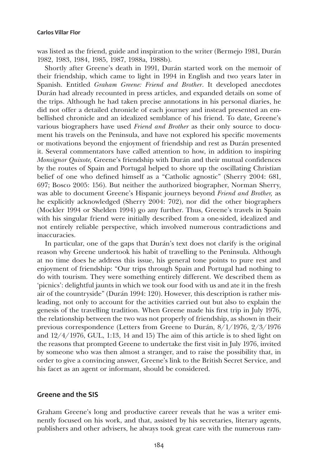was listed as the friend, guide and inspiration to the writer (Bermejo 1981, Durán 1982, 1983, 1984, 1985, 1987, 1988a, 1988b).

Shortly after Greene's death in 1991, Durán started work on the memoir of their friendship, which came to light in 1994 in English and two years later in Spanish. Entitled *Graham Greene: Friend and Brother*. It developed anecdotes Durán had already recounted in press articles, and expanded details on some of the trips. Although he had taken precise annotations in his personal diaries, he did not offer a detailed chronicle of each journey and instead presented an embellished chronicle and an idealized semblance of his friend. To date, Greene's various biographers have used *Friend and Brother* as their only source to document his travels on the Peninsula, and have not explored his specific movements or motivations beyond the enjoyment of friendship and rest as Durán presented it. Several commentators have called attention to how, in addition to inspiring *Monsignor Quixote,* Greene's friendship with Durán and their mutual confidences by the routes of Spain and Portugal helped to shore up the oscillating Christian belief of one who defined himself as a "Catholic agnostic" (Sherry 2004: 681, 697; Bosco 2005: 156). But neither the authorized biographer, Norman Sherry, was able to document Greene's Hispanic journeys beyond *Friend and Brother,* as he explicitly acknowledged (Sherry 2004: 702), nor did the other biographers (Mockler 1994 or Shelden 1994) go any further. Thus, Greene's travels in Spain with his singular friend were initially described from a one-sided, idealized and not entirely reliable perspective, which involved numerous contradictions and inaccuracies.

In particular, one of the gaps that Durán's text does not clarify is the original reason why Greene undertook his habit of travelling to the Peninsula. Although at no time does he address this issue, his general tone points to pure rest and enjoyment of friendship: "Our trips through Spain and Portugal had nothing to do with tourism. They were something entirely different. We described them as 'picnics': delightful jaunts in which we took our food with us and ate it in the fresh air of the countryside" (Durán 1994: 120). However, this description is rather misleading, not only to account for the activities carried out but also to explain the genesis of the travelling tradition. When Greene made his first trip in July 1976, the relationship between the two was not properly of friendship, as shown in their previous correspondence (Letters from Greene to Durán, 8/1/1976, 2/3/1976 and  $12/4/1976$ , GUL, 1:13, 14 and 15) The aim of this article is to shed light on the reasons that prompted Greene to undertake the first visit in July 1976, invited by someone who was then almost a stranger, and to raise the possibility that, in order to give a convincing answer, Greene's link to the British Secret Service, and his facet as an agent or informant, should be considered.

## **Greene and the SIS**

Graham Greene's long and productive career reveals that he was a writer eminently focused on his work, and that, assisted by his secretaries, literary agents, publishers and other advisers, he always took great care with the numerous ram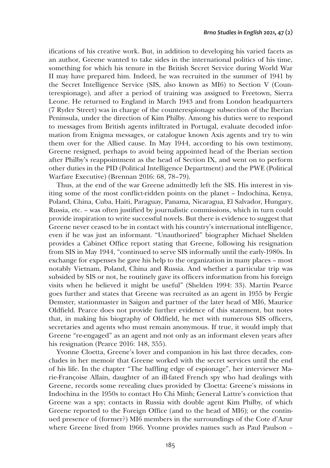ifications of his creative work. But, in addition to developing his varied facets as an author, Greene wanted to take sides in the international politics of his time, something for which his tenure in the British Secret Service during World War II may have prepared him. Indeed, he was recruited in the summer of 1941 by the Secret Intelligence Service (SIS, also known as MI6) to Section V (Counterespionage), and after a period of training was assigned to Freetown, Sierra Leone. He returned to England in March 1943 and from London headquarters (7 Ryder Street) was in charge of the counterespionage subsection of the Iberian Peninsula, under the direction of Kim Philby. Among his duties were to respond to messages from British agents infiltrated in Portugal, evaluate decoded information from Enigma messages, or catalogue known Axis agents and try to win them over for the Allied cause. In May 1944, according to his own testimony, Greene resigned, perhaps to avoid being appointed head of the Iberian section after Philby's reappointment as the head of Section IX, and went on to perform other duties in the PID (Political Intelligence Department) and the PWE (Political Warfare Executive) (Brennan 2016: 68, 78–79).

Thus, at the end of the war Greene admittedly left the SIS. His interest in visiting some of the most conflict-ridden points on the planet – Indochina, Kenya, Poland, China, Cuba, Haiti, Paraguay, Panama, Nicaragua, El Salvador, Hungary, Russia, etc. – was often justified by journalistic commissions, which in turn could provide inspiration to write successful novels. But there is evidence to suggest that Greene never ceased to be in contact with his country's international intelligence, even if he was just an informant. "Unauthorized" biographer Michael Shelden provides a Cabinet Office report stating that Greene, following his resignation from SIS in May 1944, "continued to serve SIS informally until the early-1980s. In exchange for expenses he gave his help to the organization in many places – most notably Vietnam, Poland, China and Russia. And whether a particular trip was subsided by SIS or not, he routinely gave its officers information from his foreign visits when he believed it might be useful" (Shelden 1994: 33). Martin Pearce goes further and states that Greene was recruited as an agent in 1955 by Fergie Demster, stationmaster in Saigon and partner of the later head of MI6, Maurice Oldfield. Pearce does not provide further evidence of this statement, but notes that, in making his biography of Oldfield, he met with numerous SIS officers, secretaries and agents who must remain anonymous. If true, it would imply that Greene "re-engaged" as an agent and not only as an informant eleven years after his resignation (Pearce 2016: 148, 355).

Yvonne Cloetta, Greene's lover and companion in his last three decades, concludes in her memoir that Greene worked with the secret services until the end of his life. In the chapter "The baffling edge of espionage", her interviewer Marie-Françoise Allain, daughter of an ill-fated French spy who had dealings with Greene, records some revealing clues provided by Cloetta: Greene's missions in Indochina in the 1950s to contact Ho Chi Minh; General Lattre's conviction that Greene was a spy; contacts in Russia with double agent Kim Philby, of which Greene reported to the Foreign Office (and to the head of MI6); or the continued presence of (former?) MI6 members in the surroundings of the Cote d'Azur where Greene lived from 1966. Yvonne provides names such as Paul Paulson –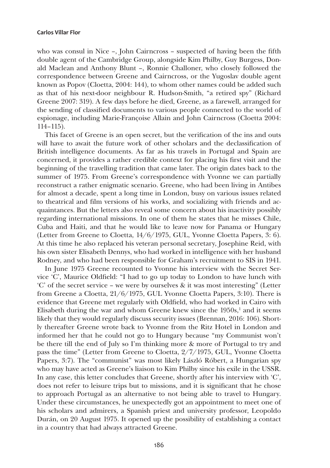who was consul in Nice –, John Cairncross – suspected of having been the fifth double agent of the Cambridge Group, alongside Kim Philby, Guy Burgess, Donald Maclean and Anthony Blunt –, Ronnie Challoner, who closely followed the correspondence between Greene and Cairncross, or the Yugoslav double agent known as Popov (Cloetta, 2004: 144), to whom other names could be added such as that of his next-door neighbour R. Hudson-Smith, "a retired spy" (Richard Greene 2007: 319). A few days before he died, Greene, as a farewell, arranged for the sending of classified documents to various people connected to the world of espionage, including Marie-Françoise Allain and John Cairncross (Cloetta 2004: 114–115).

This facet of Greene is an open secret, but the verification of the ins and outs will have to await the future work of other scholars and the declassification of British intelligence documents. As far as his travels in Portugal and Spain are concerned, it provides a rather credible context for placing his first visit and the beginning of the travelling tradition that came later. The origin dates back to the summer of 1975. From Greene's correspondence with Yvonne we can partially reconstruct a rather enigmatic scenario. Greene, who had been living in Antibes for almost a decade, spent a long time in London, busy on various issues related to theatrical and film versions of his works, and socializing with friends and acquaintances. But the letters also reveal some concern about his inactivity possibly regarding international missions. In one of them he states that he misses Chile, Cuba and Haiti, and that he would like to leave now for Panama or Hungary (Letter from Greene to Cloetta, 14/6/1975, GUL, Yvonne Cloetta Papers, 3: 6). At this time he also replaced his veteran personal secretary, Josephine Reid, with his own sister Elisabeth Dennys, who had worked in intelligence with her husband Rodney, and who had been responsible for Graham's recruitment to SIS in 1941.

In June 1975 Greene recounted to Yvonne his interview with the Secret Service 'C', Maurice Oldfield: "I had to go up today to London to have lunch with 'C' of the secret service – we were by ourselves & it was most interesting" (Letter from Greene a Cloetta, 21/6/1975, GUL Yvonne Cloetta Papers, 3:10). There is evidence that Greene met regularly with Oldfield, who had worked in Cairo with Elisabeth during the war and whom Greene knew since the  $1950s$ ,<sup>1</sup> and it seems likely that they would regularly discuss security issues (Brennan, 2016: 106). Shortly thereafter Greene wrote back to Yvonne from the Ritz Hotel in London and informed her that he could not go to Hungary because "my Communist won't be there till the end of July so I'm thinking more & more of Portugal to try and pass the time" (Letter from Greene to Cloetta, 2/7/1975, GUL, Yvonne Cloetta Papers, 3:7). The "communist" was most likely László Róbert, a Hungarian spy who may have acted as Greene's liaison to Kim Philby since his exile in the USSR. In any case, this letter concludes that Greene, shortly after his interview with 'C', does not refer to leisure trips but to missions, and it is significant that he chose to approach Portugal as an alternative to not being able to travel to Hungary. Under these circumstances, he unexpectedly got an appointment to meet one of his scholars and admirers, a Spanish priest and university professor, Leopoldo Durán, on 20 August 1975. It opened up the possibility of establishing a contact in a country that had always attracted Greene.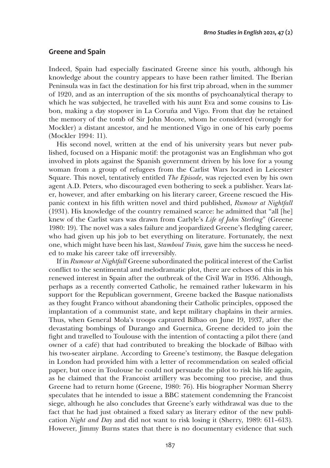## **Greene and Spain**

Indeed, Spain had especially fascinated Greene since his youth, although his knowledge about the country appears to have been rather limited. The Iberian Peninsula was in fact the destination for his first trip abroad, when in the summer of 1920, and as an interruption of the six months of psychoanalytical therapy to which he was subjected, he travelled with his aunt Eva and some cousins to Lisbon, making a day stopover in La Coruña and Vigo. From that day he retained the memory of the tomb of Sir John Moore, whom he considered (wrongly for Mockler) a distant ancestor, and he mentioned Vigo in one of his early poems (Mockler 1994: 11).

His second novel, written at the end of his university years but never published, focused on a Hispanic motif: the protagonist was an Englishman who got involved in plots against the Spanish government driven by his love for a young woman from a group of refugees from the Carlist Wars located in Leicester Square. This novel, tentatively entitled *The Episode*, was rejected even by his own agent A.D. Peters, who discouraged even bothering to seek a publisher. Years later, however, and after embarking on his literary career, Greene rescued the Hispanic context in his fifth written novel and third published, *Rumour at Nightfall* (1931). His knowledge of the country remained scarce: he admitted that "all [he] knew of the Carlist wars was drawn from Carlyle's *Life of John Sterling*" (Greene 1980: 19). The novel was a sales failure and jeopardized Greene's fledgling career, who had given up his job to bet everything on literature. Fortunately, the next one, which might have been his last, *Stamboul Train,* gave him the success he needed to make his career take off irreversibly.

If in *Rumour at Nightfall* Greene subordinated the political interest of the Carlist conflict to the sentimental and melodramatic plot, there are echoes of this in his renewed interest in Spain after the outbreak of the Civil War in 1936. Although, perhaps as a recently converted Catholic, he remained rather lukewarm in his support for the Republican government, Greene backed the Basque nationalists as they fought Franco without abandoning their Catholic principles, opposed the implantation of a communist state, and kept military chaplains in their armies. Thus, when General Mola's troops captured Bilbao on June 19, 1937, after the devastating bombings of Durango and Guernica, Greene decided to join the fight and travelled to Toulouse with the intention of contacting a pilot there (and owner of a café) that had contributed to breaking the blockade of Bilbao with his two-seater airplane. According to Greene's testimony, the Basque delegation in London had provided him with a letter of recommendation on sealed official paper, but once in Toulouse he could not persuade the pilot to risk his life again, as he claimed that the Francoist artillery was becoming too precise, and thus Greene had to return home (Greene, 1980: 76). His biographer Norman Sherry speculates that he intended to issue a BBC statement condemning the Francoist siege, although he also concludes that Greene's early withdrawal was due to the fact that he had just obtained a fixed salary as literary editor of the new publication *Night and Day* and did not want to risk losing it (Sherry, 1989: 611–613). However, Jimmy Burns states that there is no documentary evidence that such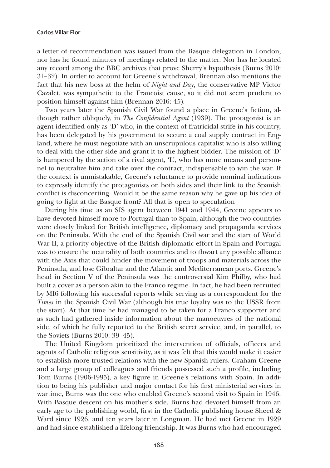a letter of recommendation was issued from the Basque delegation in London, nor has he found minutes of meetings related to the matter. Nor has he located any record among the BBC archives that prove Sherry's hypothesis (Burns 2010: 31–32). In order to account for Greene's withdrawal, Brennan also mentions the fact that his new boss at the helm of *Night and Day*, the conservative MP Victor Cazalet, was sympathetic to the Francoist cause, so it did not seem prudent to position himself against him (Brennan 2016: 45).

Two years later the Spanish Civil War found a place in Greene's fiction, although rather obliquely, in *The Confidential Agent* (1939). The protagonist is an agent identified only as 'D' who, in the context of fratricidal strife in his country, has been delegated by his government to secure a coal supply contract in England, where he must negotiate with an unscrupulous capitalist who is also willing to deal with the other side and grant it to the highest bidder. The mission of 'D' is hampered by the action of a rival agent, 'L', who has more means and personnel to neutralize him and take over the contract, indispensable to win the war. If the context is unmistakable, Greene's reluctance to provide nominal indications to expressly identify the protagonists on both sides and their link to the Spanish conflict is disconcerting. Would it be the same reason why he gave up his idea of going to fight at the Basque front? All that is open to speculation

During his time as an SIS agent between 1941 and 1944, Greene appears to have devoted himself more to Portugal than to Spain, although the two countries were closely linked for British intelligence, diplomacy and propaganda services on the Peninsula. With the end of the Spanish Civil war and the start of World War II, a priority objective of the British diplomatic effort in Spain and Portugal was to ensure the neutrality of both countries and to thwart any possible alliance with the Axis that could hinder the movement of troops and materials across the Peninsula, and lose Gibraltar and the Atlantic and Mediterranean ports. Greene's head in Section V of the Peninsula was the controversial Kim Philby, who had built a cover as a person akin to the Franco regime. In fact, he had been recruited by MI6 following his successful reports while serving as a correspondent for the *Times* in the Spanish Civil War (although his true loyalty was to the USSR from the start). At that time he had managed to be taken for a Franco supporter and as such had gathered inside information about the manoeuvres of the national side, of which he fully reported to the British secret service, and, in parallel, to the Soviets (Burns 2010: 39–45).

The United Kingdom prioritized the intervention of officials, officers and agents of Catholic religious sensitivity, as it was felt that this would make it easier to establish more trusted relations with the new Spanish rulers. Graham Greene and a large group of colleagues and friends possessed such a profile, including Tom Burns (1906-1995), a key figure in Greene's relations with Spain. In addition to being his publisher and major contact for his first ministerial services in wartime, Burns was the one who enabled Greene's second visit to Spain in 1946. With Basque descent on his mother's side, Burns had devoted himself from an early age to the publishing world, first in the Catholic publishing house Sheed & Ward since 1926, and ten years later in Longman. He had met Greene in 1929 and had since established a lifelong friendship. It was Burns who had encouraged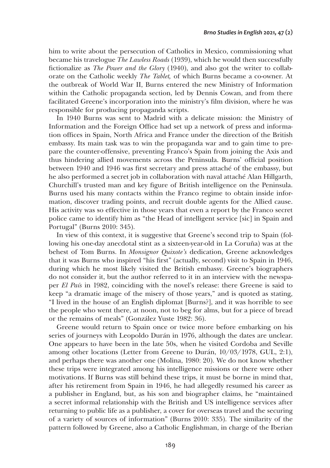him to write about the persecution of Catholics in Mexico, commissioning what became his travelogue *The Lawless Roads* (1939), which he would then successfully fictionalize as *The Power and the Glory* (1940), and also got the writer to collaborate on the Catholic weekly *The Tablet,* of which Burns became a co-owner. At the outbreak of World War II, Burns entered the new Ministry of Information within the Catholic propaganda section, led by Dennis Cowan, and from there facilitated Greene's incorporation into the ministry's film division, where he was responsible for producing propaganda scripts.

In 1940 Burns was sent to Madrid with a delicate mission: the Ministry of Information and the Foreign Office had set up a network of press and information offices in Spain, North Africa and France under the direction of the British embassy. Its main task was to win the propaganda war and to gain time to prepare the counter-offensive, preventing Franco's Spain from joining the Axis and thus hindering allied movements across the Peninsula. Burns' official position between 1940 and 1946 was first secretary and press attaché of the embassy, but he also performed a secret job in collaboration with naval attaché Alan Hillgarth, Churchill's trusted man and key figure of British intelligence on the Peninsula. Burns used his many contacts within the Franco regime to obtain inside information, discover trading points, and recruit double agents for the Allied cause. His activity was so effective in those years that even a report by the Franco secret police came to identify him as "the Head of intelligent service [sic] in Spain and Portugal" (Burns 2010: 345).

In view of this context, it is suggestive that Greene's second trip to Spain (following his one-day anecdotal stint as a sixteen-year-old in La Coruña) was at the behest of Tom Burns. In *Monsignor Quixote's* dedication, Greene acknowledges that it was Burns who inspired "his first" (actually, second) visit to Spain in 1946, during which he most likely visited the British embassy. Greene's biographers do not consider it, but the author referred to it in an interview with the newspaper *El País* in 1982, coinciding with the novel's release: there Greene is said to keep "a dramatic image of the misery of those years," and is quoted as stating, "I lived in the house of an English diplomat [Burns?], and it was horrible to see the people who went there, at noon, not to beg for alms, but for a piece of bread or the remains of meals" (González Yuste 1982: 36).

Greene would return to Spain once or twice more before embarking on his series of journeys with Leopoldo Durán in 1976, although the dates are unclear. One appears to have been in the late 50s, when he visited Cordoba and Seville among other locations (Letter from Greene to Durán, 10/03/1978, GUL, 2:1), and perhaps there was another one (Molina, 1980: 20). We do not know whether these trips were integrated among his intelligence missions or there were other motivations. If Burns was still behind these trips, it must be borne in mind that, after his retirement from Spain in 1946, he had allegedly resumed his career as a publisher in England, but, as his son and biographer claims, he "maintained a secret informal relationship with the British and US intelligence services after returning to public life as a publisher, a cover for overseas travel and the securing of a variety of sources of information" (Burns 2010: 335). The similarity of the pattern followed by Greene, also a Catholic Englishman, in charge of the Iberian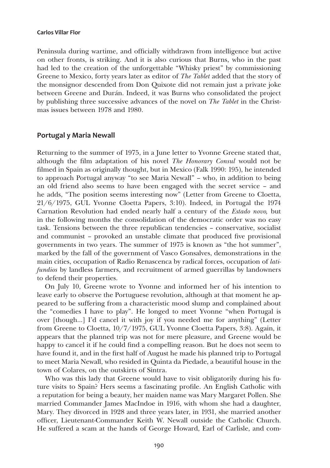Peninsula during wartime, and officially withdrawn from intelligence but active on other fronts, is striking. And it is also curious that Burns, who in the past had led to the creation of the unforgettable "Whisky priest" by commissioning Greene to Mexico, forty years later as editor of *The Tablet* added that the story of the monsignor descended from Don Quixote did not remain just a private joke between Greene and Durán. Indeed, it was Burns who consolidated the project by publishing three successive advances of the novel on *The Tablet* in the Christmas issues between 1978 and 1980.

## **Portugal y Maria Newall**

Returning to the summer of 1975, in a June letter to Yvonne Greene stated that, although the film adaptation of his novel *The Honorary Consul* would not be filmed in Spain as originally thought, but in Mexico (Falk 1990: 195), he intended to approach Portugal anyway "to see Maria Newall" – who, in addition to being an old friend also seems to have been engaged with the secret service – and he adds, "The position seems interesting now" (Letter from Greene to Cloetta, 21/6/1975, GUL Yvonne Cloetta Papers, 3:10). Indeed, in Portugal the 1974 Carnation Revolution had ended nearly half a century of the *Estado novo,* but in the following months the consolidation of the democratic order was no easy task. Tensions between the three republican tendencies – conservative, socialist and communist – provoked an unstable climate that produced five provisional governments in two years. The summer of 1975 is known as "the hot summer", marked by the fall of the government of Vasco Gonsalves, demonstrations in the main cities, occupation of Radio Renascenca by radical forces, occupation of *latifundios* by landless farmers, and recruitment of armed guerrillas by landowners to defend their properties.

On July 10, Greene wrote to Yvonne and informed her of his intention to leave early to observe the Portuguese revolution, although at that moment he appeared to be suffering from a characteristic mood slump and complained about the "comedies I have to play". He longed to meet Yvonne "when Portugal is over [though...] I'd cancel it with joy if you needed me for anything" (Letter from Greene to Cloetta, 10/7/1975, GUL Yvonne Cloetta Papers, 3:8). Again, it appears that the planned trip was not for mere pleasure, and Greene would be happy to cancel it if he could find a compelling reason. But he does not seem to have found it, and in the first half of August he made his planned trip to Portugal to meet Maria Newall, who resided in Quinta da Piedade, a beautiful house in the town of Colares, on the outskirts of Sintra.

Who was this lady that Greene would have to visit obligatorily during his future visits to Spain? Hers seems a fascinating profile. An English Catholic with a reputation for being a beauty, her maiden name was Mary Margaret Pollen. She married Commander James MacIndoe in 1916, with whom she had a daughter, Mary. They divorced in 1928 and three years later, in 1931, she married another officer, Lieutenant-Commander Keith W. Newall outside the Catholic Church. He suffered a scam at the hands of George Howard, Earl of Carlisle, and com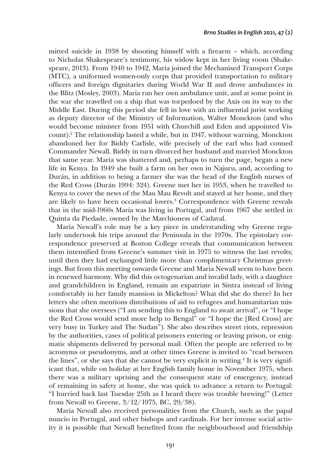mitted suicide in 1938 by shooting himself with a firearm – which, according to Nicholas Shakespeare's testimony, his widow kept in her living room (Shakespeare, 2013). From 1940 to 1942, Maria joined the Mechanised Transport Corps (MTC), a uniformed women-only corps that provided transportation to military officers and foreign dignitaries during World War II and drove ambulances in the Blitz (Mosley, 2003). Maria ran her own ambulance unit, and at some point in the war she travelled on a ship that was torpedoed by the Axis on its way to the Middle East. During this period she fell in love with an influential jurist working as deputy director of the Ministry of Information, Walter Monckton (and who would become minister from 1951 with Churchill and Eden and appointed Viscount).<sup>2</sup> The relationship lasted a while, but in 1947, without warning, Monckton abandoned her for Biddy Carlisle, wife precisely of the earl who had conned Commander Newall. Biddy in turn divorced her husband and married Monckton that same year. Maria was shattered and, perhaps to turn the page, began a new life in Kenya. In 1949 she built a farm on her own in Najuru, and, according to Durán, in addition to being a farmer she was the head of the English nurses of the Red Cross (Durán 1994: 324). Greene met her in 1953, when he travelled to Kenya to cover the news of the Mau Mau Revolt and stayed at her home, and they are likely to have been occasional lovers.<sup>3</sup> Correspondence with Greene reveals that in the mid-1960s Maria was living in Portugal, and from 1967 she settled in Quinta da Piedade, owned by the Marchioness of Cadaval.

Maria Newall's role may be a key piece in understanding why Greene regularly undertook his trips around the Peninsula in the 1970s. The epistolary correspondence preserved at Boston College reveals that communication between them intensified from Greene's summer visit in 1975 to witness the last revolts; until then they had exchanged little more than complimentary Christmas greetings. But from this meeting onwards Greene and Maria Newall seem to have been in renewed harmony. Why did this octogenarian and invalid lady, with a daughter and grandchildren in England, remain an expatriate in Sintra instead of living comfortably in her family mansion in Mickelton? What did she do there? In her letters she often mentions distributions of aid to refugees and humanitarian missions that she oversees ("I am sending this to England to await arrival", or "I hope the Red Cross would send more help to Bengal" or "I hope the [Red Cross] are very busy in Turkey and The Sudan"). She also describes street riots, repression by the authorities, cases of political prisoners entering or leaving prison, or enigmatic shipments delivered by personal mail. Often the people are referred to by acronyms or pseudonyms, and at other times Greene is invited to "read between the lines", or she says that she cannot be very explicit in writing.<sup>4</sup> It is very significant that, while on holiday at her English family home in November 1975, when there was a military uprising and the consequent state of emergency, instead of remaining in safety at home, she was quick to advance a return to Portugal: "I hurried back last Tuesday 25th as I heard there was trouble brewing!" (Letter from Newall to Greene, 3/12/1975, BC, 29/38).

Maria Newall also received personalities from the Church, such as the papal nuncio in Portugal, and other bishops and cardinals. For her intense social activity it is possible that Newall benefited from the neighbourhood and friendship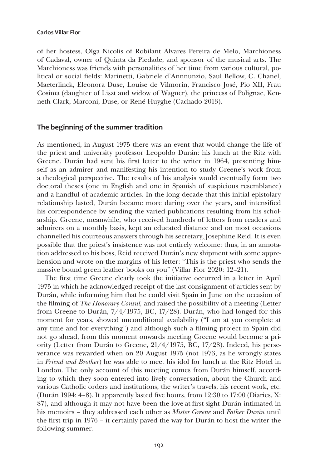of her hostess, Olga Nicolis of Robilant Alvares Pereira de Melo, Marchioness of Cadaval, owner of Quinta da Piedade, and sponsor of the musical arts. The Marchioness was friends with personalities of her time from various cultural, political or social fields: Marinetti, Gabriele d'Annnunzio, Saul Bellow, C. Chanel, Maeterlinck, Eleonora Duse, Louise de Vilmorin, Francisco José, Pio XII, Frau Cosima (daughter of Liszt and widow of Wagner), the princess of Polignac, Kenneth Clark, Marconi, Duse, or René Huyghe (Cachado 2013).

## **The beginning of the summer tradition**

As mentioned, in August 1975 there was an event that would change the life of the priest and university professor Leopoldo Durán: his lunch at the Ritz with Greene. Durán had sent his first letter to the writer in 1964, presenting himself as an admirer and manifesting his intention to study Greene's work from a theological perspective. The results of his analysis would eventually form two doctoral theses (one in English and one in Spanish of suspicious resemblance) and a handful of academic articles. In the long decade that this initial epistolary relationship lasted, Durán became more daring over the years, and intensified his correspondence by sending the varied publications resulting from his scholarship. Greene, meanwhile, who received hundreds of letters from readers and admirers on a monthly basis, kept an educated distance and on most occasions channelled his courteous answers through his secretary, Josephine Reid. It is even possible that the priest's insistence was not entirely welcome: thus, in an annotation addressed to his boss, Reid received Durán's new shipment with some apprehension and wrote on the margins of his letter: "This is the priest who sends the massive bound green leather books on you" (Villar Flor 2020: 12–21).

The first time Greene clearly took the initiative occurred in a letter in April 1975 in which he acknowledged receipt of the last consignment of articles sent by Durán, while informing him that he could visit Spain in June on the occasion of the filming of *The Honorary Consul,* and raised the possibility of a meeting (Letter from Greene to Durán, 7/4/1975, BC, 17/28). Durán, who had longed for this moment for years, showed unconditional availability ("I am at you complete at any time and for everything") and although such a filming project in Spain did not go ahead, from this moment onwards meeting Greene would become a priority (Letter from Durán to Greene, 21/4/1975, BC, 17/28). Indeed, his perseverance was rewarded when on 20 August 1975 (not 1973, as he wrongly states in *Friend and Brother*) he was able to meet his idol for lunch at the Ritz Hotel in London. The only account of this meeting comes from Durán himself, according to which they soon entered into lively conversation, about the Church and various Catholic orders and institutions, the writer's travels, his recent work, etc. (Durán 1994: 4–8). It apparently lasted five hours, from 12:30 to 17:00 (Diaries, X: 87), and although it may not have been the love-at-first-sight Durán intimated in his memoirs – they addressed each other as *Mister Greene* and *Father Durán* until the first trip in 1976 – it certainly paved the way for Durán to host the writer the following summer.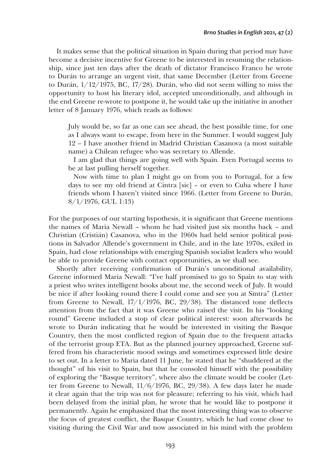It makes sense that the political situation in Spain during that period may have become a decisive incentive for Greene to be interested in resuming the relationship, since just ten days after the death of dictator Francisco Franco he wrote to Durán to arrange an urgent visit, that same December (Letter from Greene to Durán, 1/12/1975, BC, 17/28). Durán, who did not seem willing to miss the opportunity to host his literary idol, accepted unconditionally, and although in the end Greene re-wrote to postpone it, he would take up the initiative in another letter of 8 January 1976, which reads as follows:

July would be, so far as one can see ahead, the best possible time, for one as I always want to escape, from here in the Summer. I would suggest July 12 – I have another friend in Madrid Christian Casanova (a most suitable name) a Chilean refugee who was secretary to Allende.

I am glad that things are going well with Spain. Even Portugal seems to be at last pulling herself together.

Now with time to plan I might go on from you to Portugal, for a few days to see my old friend at Cintra [sic] – or even to Cuba where I have friends whom I haven't visited since 1966. (Letter from Greene to Durán, 8/1/1976, GUL 1:13)

For the purposes of our starting hypothesis, it is significant that Greene mentions the names of Maria Newall – whom he had visited just six months back – and Christian (Cristián) Casanova, who in the 1960s had held senior political positions in Salvador Allende's government in Chile, and in the late 1970s, exiled in Spain, had close relationships with emerging Spanish socialist leaders who would be able to provide Greene with contact opportunities, as we shall see.

Shortly after receiving confirmation of Durán's unconditional availability, Greene informed Maria Newall: "I've half promised to go to Spain to stay with a priest who writes intelligent books about me, the second week of July. It would be nice if after looking round there I could come and see you at Sintra" (Letter from Greene to Newall, 17/1/1976, BC, 29/38). The distanced tone deflects attention from the fact that it was Greene who raised the visit. In his "looking round" Greene included a stop of clear political interest: soon afterwards he wrote to Durán indicating that he would be interested in visiting the Basque Country, then the most conflicted region of Spain due to the frequent attacks of the terrorist group ETA. But as the planned journey approached, Greene suffered from his characteristic mood swings and sometimes expressed little desire to set out. In a letter to Maria dated 11 June, he stated that he "shuddered at the thought" of his visit to Spain, but that he consoled himself with the possibility of exploring the "Basque territory", where also the climate would be cooler (Letter from Greene to Newall, 11/6/1976, BC, 29/38). A few days later he made it clear again that the trip was not for pleasure; referring to his visit, which had been delayed from the initial plan, he wrote that he would like to postpone it permanently. Again he emphasized that the most interesting thing was to observe the focus of greatest conflict, the Basque Country, which he had come close to visiting during the Civil War and now associated in his mind with the problem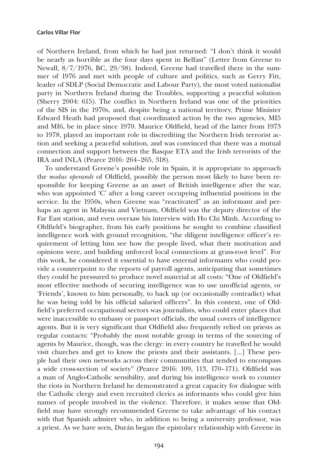of Northern Ireland, from which he had just returned: "I don't think it would be nearly as horrible as the four days spent in Belfast" (Letter from Greene to Newall, 8/7/1976, BC, 29/38). Indeed, Greene had travelled there in the summer of 1976 and met with people of culture and politics, such as Gerry Fitt, leader of SDLP (Social Democratic and Labour Party), the most voted nationalist party in Northern Ireland during the Troubles, supporting a peaceful solution (Sherry 2004: 615). The conflict in Northern Ireland was one of the priorities of the SIS in the 1970s, and, despite being a national territory, Prime Minister Edward Heath had proposed that coordinated action by the two agencies, MI5 and MI6, be in place since 1970. Maurice Oldfield, head of the latter from 1973 to 1978, played an important role in discrediting the Northern Irish terrorist action and seeking a peaceful solution, and was convinced that there was a mutual connection and support between the Basque ETA and the Irish terrorists of the IRA and INLA (Pearce 2016: 264–265, 318).

To understand Greene's possible role in Spain, it is appropriate to approach the *modus operandi* of Oldfield, possibly the person most likely to have been responsible for keeping Greene as an asset of British intelligence after the war, who was appointed 'C' after a long career occupying influential positions in the service. In the 1950s, when Greene was "reactivated" as an informant and perhaps an agent in Malaysia and Vietnam, Oldfield was the deputy director of the Far East station, and even oversaw his interview with Ho Chi Minh. According to Oldfield's biographer, from his early positions he sought to combine classified intelligence work with ground recognition, "the diligent intelligence officer's requirement of letting him see how the people lived, what their motivation and opinions were, and building unforced local connections at grass-root level". For this work, he considered it essential to have external informants who could provide a counterpoint to the reports of payroll agents, anticipating that sometimes they could be pressured to produce novel material at all costs: "One of Oldfield's most effective methods of securing intelligence was to use unofficial agents, or 'Friends', known to him personally, to back up (or occasionally contradict) what he was being told by his official salaried officers". In this context, one of Oldfield's preferred occupational sectors was journalists, who could enter places that were inaccessible to embassy or passport officials, the usual covers of intelligence agents. But it is very significant that Oldfield also frequently relied on priests as regular contacts: "Probably the most notable group in terms of the sourcing of agents by Maurice, though, was the clergy: in every country he travelled he would visit churches and get to know the priests and their assistants. [...] These people had their own networks across their communities that tended to encompass a wide cross-section of society" (Pearce 2016: 109, 113, 170–171). Oldfield was a man of Anglo-Catholic sensibility, and during his intelligence work to counter the riots in Northern Ireland he demonstrated a great capacity for dialogue with the Catholic clergy and even recruited clerics as informants who could give him names of people involved in the violence. Therefore, it makes sense that Oldfield may have strongly recommended Greene to take advantage of his contact with that Spanish admirer who, in addition to being a university professor, was a priest. As we have seen, Durán began the epistolary relationship with Greene in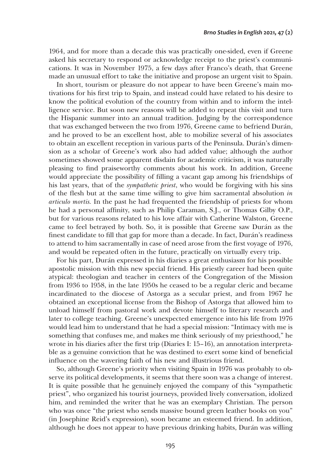1964, and for more than a decade this was practically one-sided, even if Greene asked his secretary to respond or acknowledge receipt to the priest's communications. It was in November 1975, a few days after Franco's death, that Greene made an unusual effort to take the initiative and propose an urgent visit to Spain.

In short, tourism or pleasure do not appear to have been Greene's main motivations for his first trip to Spain, and instead could have related to his desire to know the political evolution of the country from within and to inform the intelligence service. But soon new reasons will be added to repeat this visit and turn the Hispanic summer into an annual tradition. Judging by the correspondence that was exchanged between the two from 1976, Greene came to befriend Durán, and he proved to be an excellent host, able to mobilize several of his associates to obtain an excellent reception in various parts of the Peninsula. Durán's dimension as a scholar of Greene's work also had added value; although the author sometimes showed some apparent disdain for academic criticism, it was naturally pleasing to find praiseworthy comments about his work. In addition, Greene would appreciate the possibility of filling a vacant gap among his friendships of his last years, that of the *sympathetic priest*, who would be forgiving with his sins of the flesh but at the same time willing to give him sacramental absolution *in articulo mortis.* In the past he had frequented the friendship of priests for whom he had a personal affinity, such as Philip Caraman, S.J., or Thomas Gilby O.P., but for various reasons related to his love affair with Catherine Walston, Greene came to feel betrayed by both. So, it is possible that Greene saw Durán as the finest candidate to fill that gap for more than a decade. In fact, Durán's readiness to attend to him sacramentally in case of need arose from the first voyage of 1976, and would be repeated often in the future, practically on virtually every trip.

For his part, Durán expressed in his diaries a great enthusiasm for his possible apostolic mission with this new special friend. His priestly career had been quite atypical: theologian and teacher in centers of the Congregation of the Mission from 1936 to 1958, in the late 1950s he ceased to be a regular cleric and became incardinated to the diocese of Astorga as a secular priest, and from 1967 he obtained an exceptional license from the Bishop of Astorga that allowed him to unload himself from pastoral work and devote himself to literary research and later to college teaching. Greene's unexpected emergence into his life from 1976 would lead him to understand that he had a special mission: "Intimacy with me is something that confuses me, and makes me think seriously of my priesthood," he wrote in his diaries after the first trip (Diaries I: 15–16), an annotation interpretable as a genuine conviction that he was destined to exert some kind of beneficial influence on the wavering faith of his new and illustrious friend.

So, although Greene's priority when visiting Spain in 1976 was probably to observe its political developments, it seems that there soon was a change of interest. It is quite possible that he genuinely enjoyed the company of this "sympathetic priest", who organized his tourist journeys, provided lively conversation, idolized him, and reminded the writer that he was an exemplary Christian. The person who was once "the priest who sends massive bound green leather books on you" (in Josephine Reid's expression), soon became an esteemed friend. In addition, although he does not appear to have previous drinking habits, Durán was willing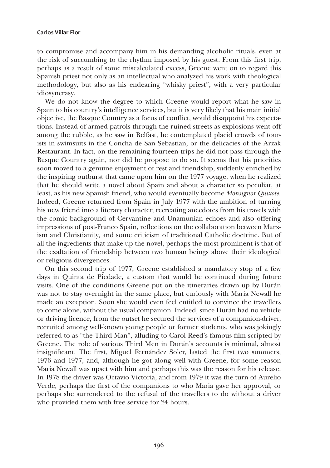to compromise and accompany him in his demanding alcoholic rituals, even at the risk of succumbing to the rhythm imposed by his guest. From this first trip, perhaps as a result of some miscalculated excess, Greene went on to regard this Spanish priest not only as an intellectual who analyzed his work with theological methodology, but also as his endearing "whisky priest", with a very particular idiosyncrasy.

We do not know the degree to which Greene would report what he saw in Spain to his country's intelligence services, but it is very likely that his main initial objective, the Basque Country as a focus of conflict, would disappoint his expectations. Instead of armed patrols through the ruined streets as explosions went off among the rubble, as he saw in Belfast, he contemplated placid crowds of tourists in swimsuits in the Concha de San Sebastian, or the delicacies of the Arzak Restaurant. In fact, on the remaining fourteen trips he did not pass through the Basque Country again, nor did he propose to do so. It seems that his priorities soon moved to a genuine enjoyment of rest and friendship, suddenly enriched by the inspiring outburst that came upon him on the 1977 voyage, when he realized that he should write a novel about Spain and about a character so peculiar, at least, as his new Spanish friend, who would eventually become *Monsignor Quixote.* Indeed, Greene returned from Spain in July 1977 with the ambition of turning his new friend into a literary character, recreating anecdotes from his travels with the comic background of Cervantine and Unamunian echoes and also offering impressions of post-Franco Spain, reflections on the collaboration between Marxism and Christianity, and some criticism of traditional Catholic doctrine. But of all the ingredients that make up the novel, perhaps the most prominent is that of the exaltation of friendship between two human beings above their ideological or religious divergences.

On this second trip of 1977, Greene established a mandatory stop of a few days in Quinta de Piedade, a custom that would be continued during future visits. One of the conditions Greene put on the itineraries drawn up by Durán was not to stay overnight in the same place, but curiously with Maria Newall he made an exception. Soon she would even feel entitled to convince the travellers to come alone, without the usual companion. Indeed, since Durán had no vehicle or driving licence, from the outset he secured the services of a companion-driver, recruited among well-known young people or former students, who was jokingly referred to as "the Third Man", alluding to Carol Reed's famous film scripted by Greene. The role of various Third Men in Durán's accounts is minimal, almost insignificant. The first, Miguel Fernández Soler, lasted the first two summers, 1976 and 1977, and, although he got along well with Greene, for some reason Maria Newall was upset with him and perhaps this was the reason for his release. In 1978 the driver was Octavio Victoria, and from 1979 it was the turn of Aurelio Verde, perhaps the first of the companions to who Maria gave her approval, or perhaps she surrendered to the refusal of the travellers to do without a driver who provided them with free service for 24 hours.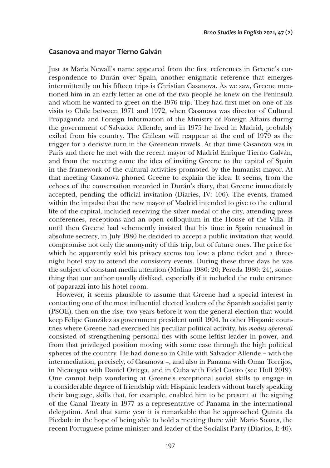## **Casanova and mayor Tierno Galván**

Just as Maria Newall's name appeared from the first references in Greene's correspondence to Durán over Spain, another enigmatic reference that emerges intermittently on his fifteen trips is Christian Casanova. As we saw, Greene mentioned him in an early letter as one of the two people he knew on the Peninsula and whom he wanted to greet on the 1976 trip. They had first met on one of his visits to Chile between 1971 and 1972, when Casanova was director of Cultural Propaganda and Foreign Information of the Ministry of Foreign Affairs during the government of Salvador Allende, and in 1975 he lived in Madrid, probably exiled from his country. The Chilean will reappear at the end of 1979 as the trigger for a decisive turn in the Greenean travels. At that time Casanova was in Paris and there he met with the recent mayor of Madrid Enrique Tierno Galván, and from the meeting came the idea of inviting Greene to the capital of Spain in the framework of the cultural activities promoted by the humanist mayor. At that meeting Casanova phoned Greene to explain the idea. It seems, from the echoes of the conversation recorded in Durán's diary, that Greene immediately accepted, pending the official invitation (Diaries, IV: 106). The events, framed within the impulse that the new mayor of Madrid intended to give to the cultural life of the capital, included receiving the silver medal of the city, attending press conferences, receptions and an open colloquium in the House of the Villa. If until then Greene had vehemently insisted that his time in Spain remained in absolute secrecy, in July 1980 he decided to accept a public invitation that would compromise not only the anonymity of this trip, but of future ones. The price for which he apparently sold his privacy seems too low: a plane ticket and a threenight hotel stay to attend the consistory events. During these three days he was the subject of constant media attention (Molina 1980: 20; Pereda 1980: 24), something that our author usually disliked, especially if it included the rude entrance of paparazzi into his hotel room.

However, it seems plausible to assume that Greene had a special interest in contacting one of the most influential elected leaders of the Spanish socialist party (PSOE), then on the rise, two years before it won the general election that would keep Felipe González as government president until 1994. In other Hispanic countries where Greene had exercised his peculiar political activity, his *modus operandi* consisted of strengthening personal ties with some leftist leader in power, and from that privileged position moving with some ease through the high political spheres of the country. He had done so in Chile with Salvador Allende – with the intermediation, precisely, of Casanova –, and also in Panama with Omar Torrijos, in Nicaragua with Daniel Ortega, and in Cuba with Fidel Castro (see Hull 2019). One cannot help wondering at Greene's exceptional social skills to engage in a considerable degree of friendship with Hispanic leaders without barely speaking their language, skills that, for example, enabled him to be present at the signing of the Canal Treaty in 1977 as a representative of Panama in the international delegation. And that same year it is remarkable that he approached Quinta da Piedade in the hope of being able to hold a meeting there with Mario Soares, the recent Portuguese prime minister and leader of the Socialist Party (Diarios, I: 46).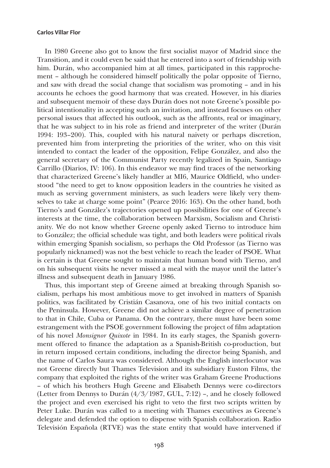In 1980 Greene also got to know the first socialist mayor of Madrid since the Transition, and it could even be said that he entered into a sort of friendship with him. Durán, who accompanied him at all times, participated in this rapprochement – although he considered himself politically the polar opposite of Tierno, and saw with dread the social change that socialism was promoting – and in his accounts he echoes the good harmony that was created. However, in his diaries and subsequent memoir of these days Durán does not note Greene's possible political intentionality in accepting such an invitation, and instead focuses on other personal issues that affected his outlook, such as the affronts, real or imaginary, that he was subject to in his role as friend and interpreter of the writer (Durán 1994: 193–200). This, coupled with his natural naivety or perhaps discretion, prevented him from interpreting the priorities of the writer, who on this visit intended to contact the leader of the opposition, Felipe González, and also the general secretary of the Communist Party recently legalized in Spain, Santiago Carrillo (Diarios, IV: 106). In this endeavor we may find traces of the networking that characterized Greene's likely handler at MI6, Maurice Oldfield, who understood "the need to get to know opposition leaders in the countries he visited as much as serving government ministers, as such leaders were likely very themselves to take at charge some point" (Pearce 2016: 163). On the other hand, both Tierno's and González's trajectories opened up possibilities for one of Greene's interests at the time, the collaboration between Marxism, Socialism and Christianity. We do not know whether Greene openly asked Tierno to introduce him to González; the official schedule was tight, and both leaders were political rivals within emerging Spanish socialism, so perhaps the Old Professor (as Tierno was popularly nicknamed) was not the best vehicle to reach the leader of PSOE. What is certain is that Greene sought to maintain that human bond with Tierno, and on his subsequent visits he never missed a meal with the mayor until the latter's illness and subsequent death in January 1986.

Thus, this important step of Greene aimed at breaking through Spanish socialism, perhaps his most ambitious move to get involved in matters of Spanish politics, was facilitated by Cristián Casanova, one of his two initial contacts on the Peninsula. However, Greene did not achieve a similar degree of penetration to that in Chile, Cuba or Panama. On the contrary, there must have been some estrangement with the PSOE government following the project of film adaptation of his novel *Monsignor Quixote* in 1984. In its early stages, the Spanish government offered to finance the adaptation as a Spanish-British co-production, but in return imposed certain conditions, including the director being Spanish, and the name of Carlos Saura was considered. Although the English interlocutor was not Greene directly but Thames Television and its subsidiary Euston Films, the company that exploited the rights of the writer was Graham Greene Productions – of which his brothers Hugh Greene and Elisabeth Dennys were co-directors (Letter from Dennys to Durán (4/3/1987, GUL, 7:12) –, and he closely followed the project and even exercised his right to veto the first two scripts written by Peter Luke. Durán was called to a meeting with Thames executives as Greene's delegate and defended the option to dispense with Spanish collaboration. Radio Televisión Española (RTVE) was the state entity that would have intervened if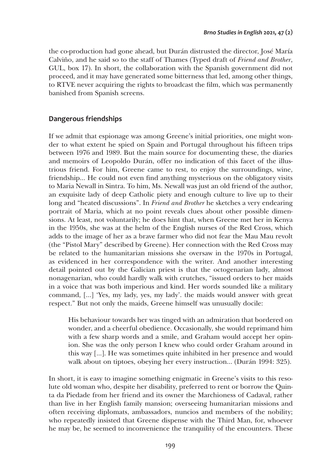the co-production had gone ahead, but Durán distrusted the director, José María Calviño, and he said so to the staff of Thames (Typed draft of *Friend and Brother*, GUL, box 17). In short, the collaboration with the Spanish government did not proceed, and it may have generated some bitterness that led, among other things, to RTVE never acquiring the rights to broadcast the film, which was permanently banished from Spanish screens.

## **Dangerous friendships**

If we admit that espionage was among Greene's initial priorities, one might wonder to what extent he spied on Spain and Portugal throughout his fifteen trips between 1976 and 1989. But the main source for documenting these, the diaries and memoirs of Leopoldo Durán, offer no indication of this facet of the illustrious friend. For him, Greene came to rest, to enjoy the surroundings, wine, friendship… He could not even find anything mysterious on the obligatory visits to Maria Newall in Sintra. To him, Ms. Newall was just an old friend of the author, an exquisite lady of deep Catholic piety and enough culture to live up to their long and "heated discussions". In *Friend and Brother* he sketches a very endearing portrait of Maria, which at no point reveals clues about other possible dimensions. At least, not voluntarily; he does hint that, when Greene met her in Kenya in the 1950s, she was at the helm of the English nurses of the Red Cross, which adds to the image of her as a brave farmer who did not fear the Mau Mau revolt (the "Pistol Mary" described by Greene). Her connection with the Red Cross may be related to the humanitarian missions she oversaw in the 1970s in Portugal, as evidenced in her correspondence with the writer. And another interesting detail pointed out by the Galician priest is that the octogenarian lady, almost nonagenarian, who could hardly walk with crutches, "issued orders to her maids in a voice that was both imperious and kind. Her words sounded like a military command, […] 'Yes, my lady, yes, my lady'. the maids would answer with great respect." But not only the maids, Greene himself was unusually docile:

His behaviour towards her was tinged with an admiration that bordered on wonder, and a cheerful obedience. Occasionally, she would reprimand him with a few sharp words and a smile, and Graham would accept her opinion. She was the only person I knew who could order Graham around in this way […]. He was sometimes quite inhibited in her presence and would walk about on tiptoes, obeying her every instruction… (Durán 1994: 325).

In short, it is easy to imagine something enigmatic in Greene's visits to this resolute old woman who, despite her disability, preferred to rent or borrow the Quinta da Piedade from her friend and its owner the Marchioness of Cadaval, rather than live in her English family mansion; overseeing humanitarian missions and often receiving diplomats, ambassadors, nuncios and members of the nobility; who repeatedly insisted that Greene dispense with the Third Man, for, whoever he may be, he seemed to inconvenience the tranquility of the encounters. These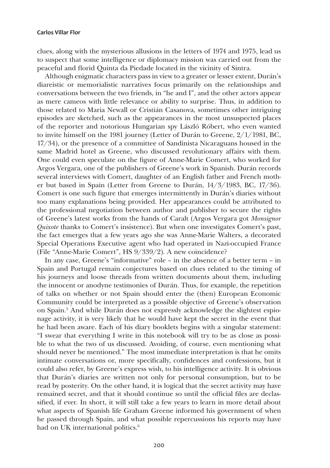clues, along with the mysterious allusions in the letters of 1974 and 1975, lead us to suspect that some intelligence or diplomacy mission was carried out from the peaceful and florid Quinta da Piedade located in the vicinity of Sintra.

Although enigmatic characters pass in view to a greater or lesser extent, Durán's diareistic or memorialistic narratives focus primarily on the relationships and conversations between the two friends, in "he and I", and the other actors appear as mere cameos with little relevance or ability to surprise. Thus, in addition to those related to Maria Newall or Cristián Casanova, sometimes other intriguing episodes are sketched, such as the appearances in the most unsuspected places of the reporter and notorious Hungarian spy László Róbert, who even wanted to invite himself on the 1981 journey (Letter of Durán to Greene, 2/1/1981, BC, 17/34), or the presence of a committee of Sandinista Nicaraguans housed in the same Madrid hotel as Greene, who discussed revolutionary affairs with them. One could even speculate on the figure of Anne-Marie Comert, who worked for Argos Vergara, one of the publishers of Greene's work in Spanish. Durán records several interviews with Comert, daughter of an English father and French mother but based in Spain (Letter from Greene to Durán, 14/3/1983, BC, 17/36). Comert is one such figure that emerges intermittently in Durán's diaries without too many explanations being provided. Her appearances could be attributed to the professional negotiation between author and publisher to secure the rights of Greene's latest works from the hands of Caralt (Argos Vergara got *Monsignor Quixote* thanks to Comert's insistence). But when one investigates Comert's past, the fact emerges that a few years ago she was Anne-Marie Walters, a decorated Special Operations Executive agent who had operated in Nazi-occupied France (File "Anne-Marie Comert", HS 9/339/2). A new coincidence?

In any case, Greene's "informative" role – in the absence of a better term – in Spain and Portugal remain conjectures based on clues related to the timing of his journeys and loose threads from written documents about them, including the innocent or anodyne testimonies of Durán. Thus, for example, the repetition of talks on whether or not Spain should enter the (then) European Economic Community could be interpreted as a possible objective of Greene's observation on Spain.5 And while Durán does not expressly acknowledge the slightest espionage activity, it is very likely that he would have kept the secret in the event that he had been aware. Each of his diary booklets begins with a singular statement: "I swear that everything I write in this notebook will try to be as close as possible to what the two of us discussed. Avoiding, of course, even mentioning what should never be mentioned." The most immediate interpretation is that he omits intimate conversations or, more specifically, confidences and confessions, but it could also refer, by Greene's express wish, to his intelligence activity. It is obvious that Durán's diaries are written not only for personal consumption, but to be read by posterity. On the other hand, it is logical that the secret activity may have remained secret, and that it should continue so until the official files are declassified, if ever. In short, it will still take a few years to learn in more detail about what aspects of Spanish life Graham Greene informed his government of when he passed through Spain, and what possible repercussions his reports may have had on UK international politics.<sup>6</sup>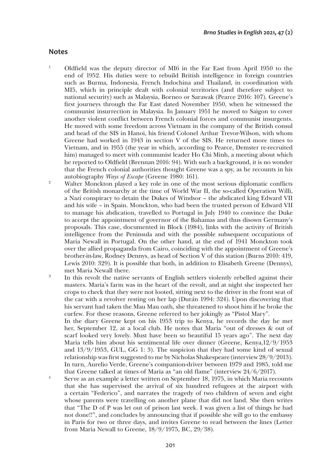## **Notes**

- <sup>1</sup> Oldfield was the deputy director of MI6 in the Far East from April 1950 to the end of 1952. His duties were to rebuild British intelligence in foreign countries such as Burma, Indonesia, French Indochina and Thailand, in coordination with MI5, which in principle dealt with colonial territories (and therefore subject to national security) such as Malaysia, Borneo or Sarawak (Pearce 2016: 107). Greene's first journeys through the Far East dated November 1950, when he witnessed the communist insurrection in Malaysia. In January 1951 he moved to Saigon to cover another violent conflict between French colonial forces and communist insurgents. He moved with some freedom across Vietnam in the company of the British consul and head of the SIS in Hanoi, his friend Colonel Arthur Trevor-Wilson, with whom Greene had worked in 1943 in section V of the SIS. He returned more times to Vietnam, and in 1955 (the year in which, according to Pearce, Demster re-recruited him) managed to meet with communist leader Ho Chi Minh, a meeting about which he reported to Oldfield (Brennan 2016: 94). With such a background, it is no wonder that the French colonial authorities thought Greene was a spy, as he recounts in his autobiography *Ways of Escape* (Greene 1980: 161).
- <sup>2</sup> Walter Monckton played a key role in one of the most serious diplomatic conflicts of the British monarchy at the time of World War II, the so-called Operation Willi, a Nazi conspiracy to detain the Dukes of Windsor – the abdicated king Edward VII and his wife – in Spain. Monckton, who had been the trusted person of Edward VII to manage his abdication, travelled to Portugal in July 1940 to convince the Duke to accept the appointment of governor of the Bahamas and thus disown Germany's proposals. This case, documented in Block (1984), links with the activity of British intelligence from the Peninsula and with the possible subsequent occupations of Maria Newall in Portugal. On the other hand, at the end of 1941 Monckton took over the allied propaganda from Cairo, coinciding with the appointment of Greene's brother-in-law, Rodney Dennys, as head of Section V of this station (Burns 2010: 419, Lewis 2010: 329). It is possible that both, in addition to Elisabeth Greene (Dennys), met Maria Newall there.
- <sup>3</sup> In this revolt the native servants of English settlers violently rebelled against their masters. Maria's farm was in the heart of the revolt, and at night she inspected her crops to check that they were not looted, sitting next to the driver in the front seat of the car with a revolver resting on her lap (Durán 1994: 324). Upon discovering that his servant had taken the Mau Mau oath, she threatened to shoot him if he broke the curfew. For these reasons, Greene referred to her jokingly as "Pistol Mary".

In the diary Greene kept on his 1953 trip to Kenya, he records the day he met her, September 12, at a local club. He notes that Maria "out of dresses & out of scarf looked very lovely. Must have been so beautiful 15 years ago". The next day Maria tells him about his sentimental life over dinner (Greene, Kenya,12/9/1953 and 13/9/1953, GUL, GG 1: 3). The suspicion that they had some kind of sexual relationship was first suggested to me by Nicholas Shakespeare (interview 28/9/2013). In turn, Aurelio Verde, Greene's companion-driver between 1979 and 1985, told me that Greene talked at times of Maria as "an old flame" (interview 24/6/2017).

<sup>4</sup> Serve as an example a letter written on September 18, 1975, in which Maria recounts that she has supervised the arrival of six hundred refugees at the airport with a certain "Federico", and narrates the tragedy of two children of seven and eight whose parents were travelling on another plane that did not land. She then writes that "The D of P was let out of prison last week. I was given a list of things he had not done!!", and concludes by announcing that if possible she will go to the embassy in Paris for two or three days, and invites Greene to read between the lines (Letter from Maria Newall to Greene, 18/9/1975, BC, 29/38).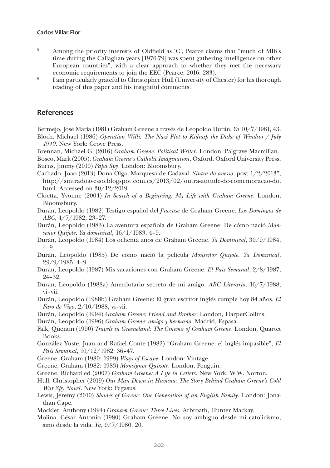- <sup>5</sup> Among the priority interests of Oldfield as 'C', Pearce claims that "much of MI6's time during the Callaghan years [1976-79] was spent gathering intelligence on other European countries", with a clear approach to whether they met the necessary economic requirements to join the EEC (Pearce, 2016: 283).
- <sup>6</sup> I am particularly grateful to Christopher Hull (University of Chester) for his thorough reading of this paper and his insightful comments.

## **References**

Bermejo, José María (1981) Graham Greene a través de Leopoldo Durán. *Ya* 10/7/1981, 43. Bloch, Michael (1986) *Operation Willi: The Nazi Plot to Kidnap the Duke of Windsor / July 1940*. New York: Grove Press.

Brennan, Michael G. (2016) *Graham Greene: Political Writer*. London, Palgrave Macmillan.

- Bosco, Mark (2005). *Graham Greene's Catholic Imagination*. Oxford, Oxford University Press. Burns, Jimmy (2010) *Papa Spy*. London: Bloomsbury.
- Cachado, Joao (2013) Dona Olga, Marquesa de Cadaval. *Sintra do avesso*, post 1/2/2013", [http://sintradoavesso.blogspot.com.es/2013/02/outra-atitude-de-comemoracao-do.](http://sintradoavesso.blogspot.com.es/2013/02/outra-atitude-de-comemoracao-do.html) [html.](http://sintradoavesso.blogspot.com.es/2013/02/outra-atitude-de-comemoracao-do.html) Accessed on 30/12/2019.
- Cloetta, Yvonne (2004) *In Search of a Beginning: My Life with Graham Greene*. London, Bloomsbury.
- Durán, Leopoldo (1982) Testigo español del *J'accuse* de Graham Greene. *Los Domingos de ABC*, 4/7/1982, 23–27.
- Durán, Leopoldo (1983) La aventura española de Graham Greene: De cómo nació *Monseñor Quijote*. *Ya dominical*, 16/1/1983, 4–9.
- Durán, Leopoldo (1984) Los ochenta años de Graham Greene. *Ya Dominical*, 30/9/1984, 4–9.
- Durán, Leopoldo (1985) De cómo nació la película *Monseñor Quijote*. *Ya Dominical*, 29/9/1985, 4–9.
- Durán, Leopoldo (1987) Mis vacaciones con Graham Greene. *El País Semanal*, 2/8/1987, 24–32.
- Durán, Leopoldo (1988a) Anecdotario secreto de mi amigo. *ABC Literario*, 16/7/1988, vi–vii.
- Durán, Leopoldo (1988b) Graham Greene: El gran escritor inglés cumple hoy 84 años. *El Faro de Vigo*, 2/10/1988, vi–vii.
- Durán, Leopoldo (1994) *Graham Greene: Friend and Brother*. London, HarperCollins.

Durán, Leopoldo (1996) *Graham Greene: amigo y hermano*. Madrid, Espasa.

- Falk, Quentin (1990) *Travels in Greeneland: The Cinema of Graham Greene*. London, Quartet Books.
- González Yuste, Juan and Rafael Conte (1982) "Graham Greene: el inglés impasible", *El País Semanal*, 10/12/1982: 36–47.
- Greene, Graham (1980: 1999) *Ways of Escape*. London: Vintage.
- Greene, Graham (1982: 1983) *Monsignor Quixote*. London, Penguin.
- Greene, Richard ed (2007) *Graham Greene: A Life in Letters*. New York, W.W. Norton.
- Hull, Christopher (2019) *Our Man Down in Havana: The Story Behind Graham Greene's Cold War Spy Novel*. New York: Pegasus.
- Lewis, Jeremy (2010) *Shades of Greene: One Generation of an English Family*. London: Jonathan Cape.
- Mockler, Anthony (1994) *Graham Greene: Three Lives*. Arbroath, Hunter Mackay.
- Molina, César Antonio (1980) Graham Greene. No soy ambiguo desde mi catolicismo, sino desde la vida. *Ya*, 9/7/1980, 20.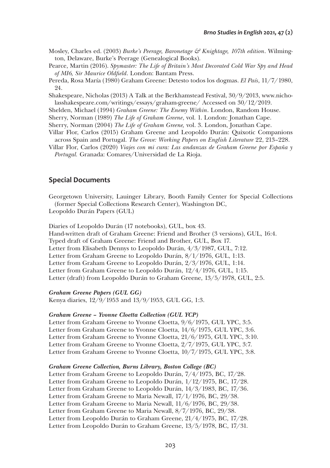- Mosley, Charles ed. (2003) *Burke's Peerage, Baronetage & Knightage, 107th edition*. Wilmington, Delaware, Burke's Peerage (Genealogical Books).
- Pearce, Martin (2016). *Spymaster: The Life of Britain's Most Decorated Cold War Spy and Head of MI6, Sir Maurice Oldfield*. London: Bantam Press.
- Pereda, Rosa María (1980) Graham Greene: Detesto todos los dogmas. *El País*, 11/7/1980, 24.
- Shakespeare, Nicholas (2013) A Talk at the Berkhamstead Festival, 30/9/2013, [www.nicho](http://www.nicholasshakespeare.com/writings/essays/graham-greene/)[lasshakespeare.com/writings/essays/graham-greene/](http://www.nicholasshakespeare.com/writings/essays/graham-greene/) Accessed on 30/12/2019.
- Shelden, Michael (1994) *Graham Greene: The Enemy Within*. London, Random House.
- Sherry, Norman (1989) *The Life of Graham Greene*, vol. 1. London: Jonathan Cape.
- Sherry, Norman (2004) *The Life of Graham Greene,* vol. 3. London, Jonathan Cape.
- Villar Flor, Carlos (2015) Graham Greene and Leopoldo Durán: Quixotic Companions across Spain and Portugal. *The Grove: Working Papers on English Literature* 22, 213–228.
- Villar Flor, Carlos (2020) *Viajes con mi cura: Las andanzas de Graham Greene por España y Portugal.* Granada: Comares/Universidad de La Rioja.

## **Special Documents**

Georgetown University, Lauinger Library, Booth Family Center for Special Collections (former Special Collections Research Center), Washington DC,

Leopoldo Durán Papers (GUL)

Diaries of Leopoldo Durán (17 notebooks), GUL, box 43.

Hand-written draft of Graham Greene: Friend and Brother (3 versions), GUL, 16:4.

- Typed draft of Graham Greene: Friend and Brother, GUL, Box 17.
- Letter from Elisabeth Dennys to Leopoldo Durán, 4/3/1987, GUL, 7:12.

Letter from Graham Greene to Leopoldo Durán, 8/1/1976, GUL, 1:13.

Letter from Graham Greene to Leopoldo Durán, 2/3/1976, GUL, 1:14.

Letter from Graham Greene to Leopoldo Durán, 12/4/1976, GUL, 1:15.

Letter (draft) from Leopoldo Durán to Graham Greene, 13/5/1978, GUL, 2:5.

#### *Graham Greene Papers (GUL GG)*

Kenya diaries, 12/9/1953 and 13/9/1953, GUL GG, 1:3.

#### *Graham Greene – Yvonne Cloetta Collection (GUL YCP)*

Letter from Graham Greene to Yvonne Cloetta, 9/6/1975, GUL YPC, 3:5. Letter from Graham Greene to Yvonne Cloetta, 14/6/1975, GUL YPC, 3:6. Letter from Graham Greene to Yvonne Cloetta, 21/6/1975, GUL YPC, 3:10. Letter from Graham Greene to Yvonne Cloetta, 2/7/1975, GUL YPC, 3:7. Letter from Graham Greene to Yvonne Cloetta, 10/7/1975, GUL YPC, 3:8.

#### *Graham Greene Collection, Burns Library, Boston College (BC)*

Letter from Graham Greene to Leopoldo Durán, 7/4/1975, BC, 17/28. Letter from Graham Greene to Leopoldo Durán, 1/12/1975, BC, 17/28. Letter from Graham Greene to Leopoldo Durán, 14/3/1983, BC, 17/36. Letter from Graham Greene to Maria Newall, 17/1/1976, BC, 29/38. Letter from Graham Greene to Maria Newall, 11/6/1976, BC, 29/38. Letter from Graham Greene to Maria Newall, 8/7/1976, BC, 29/38. Letter from Leopoldo Durán to Graham Greene, 21/4/1975, BC, 17/28. Letter from Leopoldo Durán to Graham Greene, 13/5/1978, BC, 17/31.